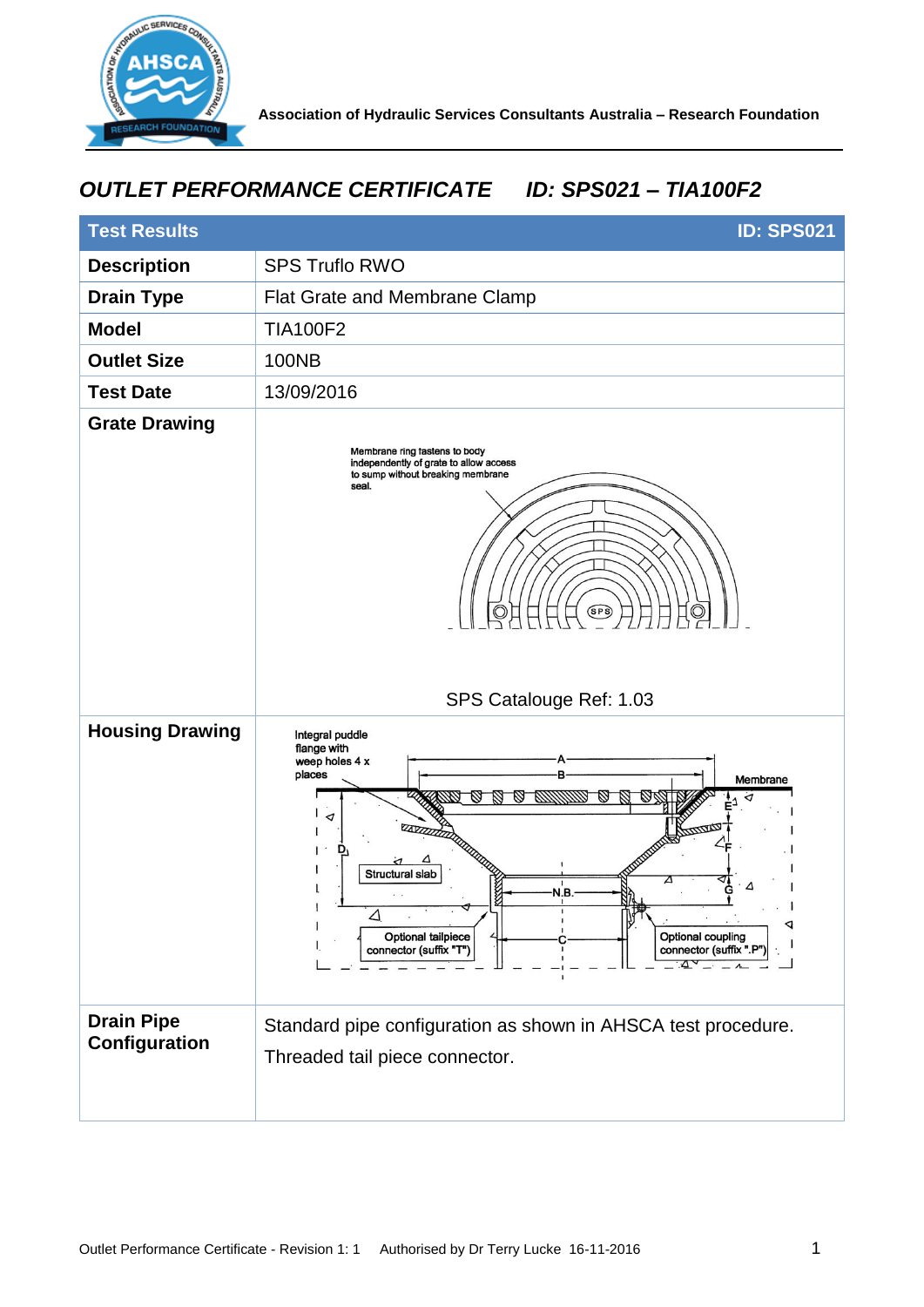

## *OUTLET PERFORMANCE CERTIFICATE ID: SPS021 – TIA100F2*